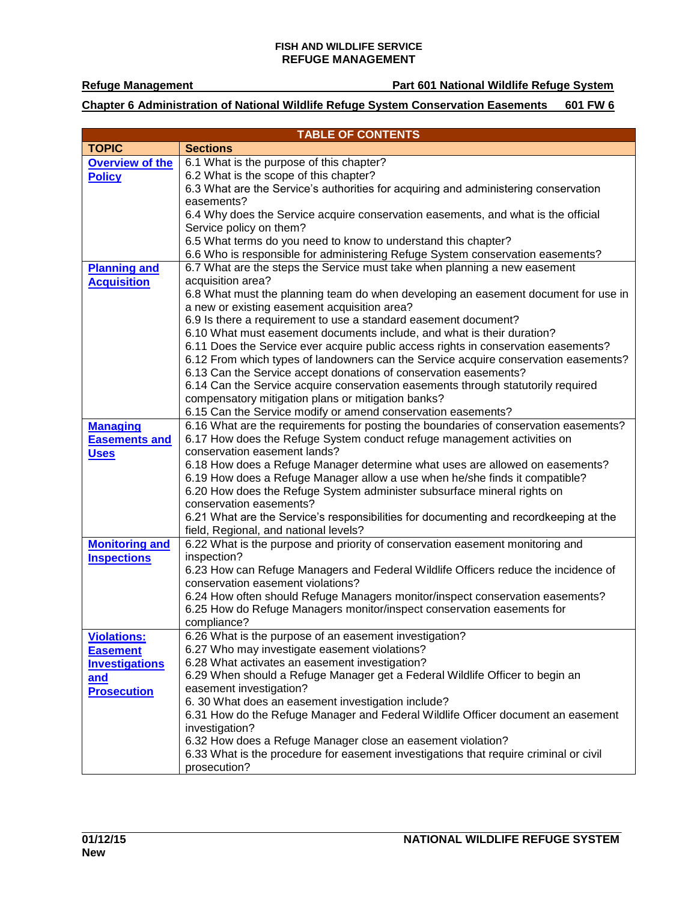**Refuge Management Part 601 National Wildlife Refuge System**

**Chapter 6 Administration of National Wildlife Refuge System Conservation Easements 601 FW 6**

| <b>TABLE OF CONTENTS</b> |                                                                                                                                                              |  |
|--------------------------|--------------------------------------------------------------------------------------------------------------------------------------------------------------|--|
| <b>TOPIC</b>             | <b>Sections</b>                                                                                                                                              |  |
| <b>Overview of the</b>   | 6.1 What is the purpose of this chapter?                                                                                                                     |  |
| <b>Policy</b>            | 6.2 What is the scope of this chapter?                                                                                                                       |  |
|                          | 6.3 What are the Service's authorities for acquiring and administering conservation                                                                          |  |
|                          | easements?                                                                                                                                                   |  |
|                          | 6.4 Why does the Service acquire conservation easements, and what is the official                                                                            |  |
|                          | Service policy on them?                                                                                                                                      |  |
|                          | 6.5 What terms do you need to know to understand this chapter?                                                                                               |  |
|                          | 6.6 Who is responsible for administering Refuge System conservation easements?                                                                               |  |
| <b>Planning and</b>      | 6.7 What are the steps the Service must take when planning a new easement                                                                                    |  |
| <b>Acquisition</b>       | acquisition area?                                                                                                                                            |  |
|                          | 6.8 What must the planning team do when developing an easement document for use in                                                                           |  |
|                          | a new or existing easement acquisition area?                                                                                                                 |  |
|                          | 6.9 Is there a requirement to use a standard easement document?                                                                                              |  |
|                          | 6.10 What must easement documents include, and what is their duration?<br>6.11 Does the Service ever acquire public access rights in conservation easements? |  |
|                          | 6.12 From which types of landowners can the Service acquire conservation easements?                                                                          |  |
|                          | 6.13 Can the Service accept donations of conservation easements?                                                                                             |  |
|                          | 6.14 Can the Service acquire conservation easements through statutorily required                                                                             |  |
|                          | compensatory mitigation plans or mitigation banks?                                                                                                           |  |
|                          | 6.15 Can the Service modify or amend conservation easements?                                                                                                 |  |
| <b>Managing</b>          | 6.16 What are the requirements for posting the boundaries of conservation easements?                                                                         |  |
| <b>Easements and</b>     | 6.17 How does the Refuge System conduct refuge management activities on                                                                                      |  |
| <b>Uses</b>              | conservation easement lands?                                                                                                                                 |  |
|                          | 6.18 How does a Refuge Manager determine what uses are allowed on easements?                                                                                 |  |
|                          | 6.19 How does a Refuge Manager allow a use when he/she finds it compatible?                                                                                  |  |
|                          | 6.20 How does the Refuge System administer subsurface mineral rights on                                                                                      |  |
|                          | conservation easements?                                                                                                                                      |  |
|                          | 6.21 What are the Service's responsibilities for documenting and recordkeeping at the                                                                        |  |
|                          | field, Regional, and national levels?                                                                                                                        |  |
| <b>Monitoring and</b>    | 6.22 What is the purpose and priority of conservation easement monitoring and                                                                                |  |
| <b>Inspections</b>       | inspection?                                                                                                                                                  |  |
|                          | 6.23 How can Refuge Managers and Federal Wildlife Officers reduce the incidence of                                                                           |  |
|                          | conservation easement violations?                                                                                                                            |  |
|                          | 6.24 How often should Refuge Managers monitor/inspect conservation easements?                                                                                |  |
|                          | 6.25 How do Refuge Managers monitor/inspect conservation easements for                                                                                       |  |
|                          | compliance?                                                                                                                                                  |  |
| Violations:              | 6.26 What is the purpose of an easement investigation?                                                                                                       |  |
| <b>Easement</b>          | 6.27 Who may investigate easement violations?                                                                                                                |  |
| <b>Investigations</b>    | 6.28 What activates an easement investigation?                                                                                                               |  |
| and                      | 6.29 When should a Refuge Manager get a Federal Wildlife Officer to begin an                                                                                 |  |
| <b>Prosecution</b>       | easement investigation?                                                                                                                                      |  |
|                          | 6. 30 What does an easement investigation include?                                                                                                           |  |
|                          | 6.31 How do the Refuge Manager and Federal Wildlife Officer document an easement                                                                             |  |
|                          | investigation?<br>6.32 How does a Refuge Manager close an easement violation?                                                                                |  |
|                          | 6.33 What is the procedure for easement investigations that require criminal or civil                                                                        |  |
|                          | prosecution?                                                                                                                                                 |  |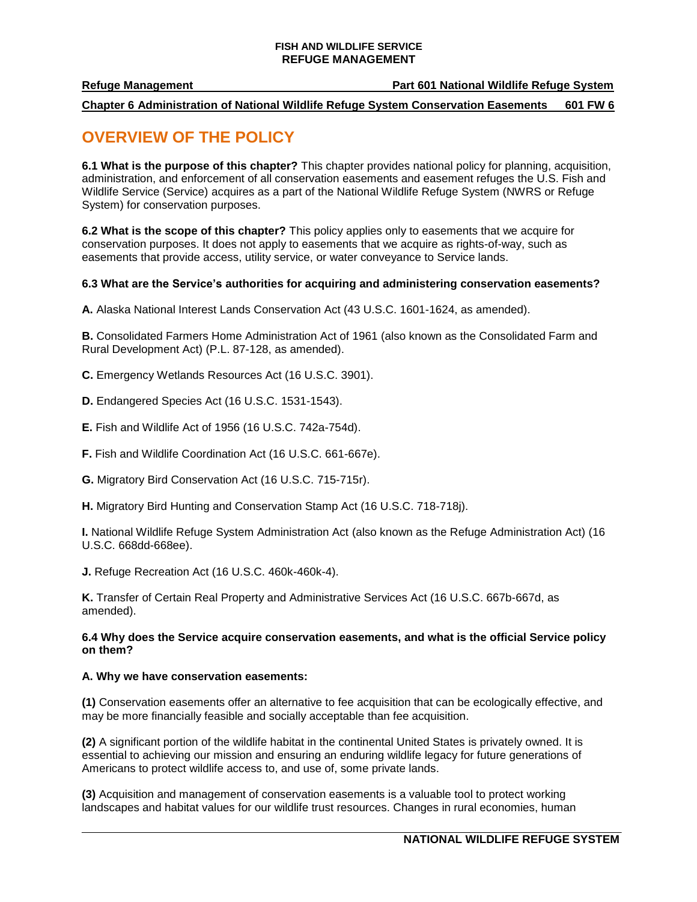### **Refuge Management Part 601 National Wildlife Refuge System**

**Chapter 6 Administration of National Wildlife Refuge System Conservation Easements 601 FW 6**

## <span id="page-1-0"></span>**OVERVIEW OF THE POLICY**

**6.1 What is the purpose of this chapter?** This chapter provides national policy for planning, acquisition, administration, and enforcement of all conservation easements and easement refuges the U.S. Fish and Wildlife Service (Service) acquires as a part of the National Wildlife Refuge System (NWRS or Refuge System) for conservation purposes.

**6.2 What is the scope of this chapter?** This policy applies only to easements that we acquire for conservation purposes. It does not apply to easements that we acquire as rights-of-way, such as easements that provide access, utility service, or water conveyance to Service lands.

## **6.3 What are the Service's authorities for acquiring and administering conservation easements?**

**A.** Alaska National Interest Lands Conservation Act (43 U.S.C. 1601-1624, as amended).

**B.** Consolidated Farmers Home Administration Act of 1961 (also known as the Consolidated Farm and Rural Development Act) (P.L. 87-128, as amended).

**C.** Emergency Wetlands Resources Act (16 U.S.C. 3901).

**D.** Endangered Species Act (16 U.S.C. 1531-1543).

**E.** Fish and Wildlife Act of 1956 (16 U.S.C. 742a-754d).

**F.** Fish and Wildlife Coordination Act (16 U.S.C. 661-667e).

**G.** Migratory Bird Conservation Act (16 U.S.C. 715-715r).

**H.** Migratory Bird Hunting and Conservation Stamp Act (16 U.S.C. 718-718j).

**I.** National Wildlife Refuge System Administration Act (also known as the Refuge Administration Act) (16 U.S.C. 668dd-668ee).

**J.** Refuge Recreation Act (16 U.S.C. 460k-460k-4).

**K.** Transfer of Certain Real Property and Administrative Services Act (16 U.S.C. 667b-667d, as amended).

#### **6.4 Why does the Service acquire conservation easements, and what is the official Service policy on them?**

#### **A. Why we have conservation easements:**

**(1)** Conservation easements offer an alternative to fee acquisition that can be ecologically effective, and may be more financially feasible and socially acceptable than fee acquisition.

**(2)** A significant portion of the wildlife habitat in the continental United States is privately owned. It is essential to achieving our mission and ensuring an enduring wildlife legacy for future generations of Americans to protect wildlife access to, and use of, some private lands.

**(3)** Acquisition and management of conservation easements is a valuable tool to protect working landscapes and habitat values for our wildlife trust resources. Changes in rural economies, human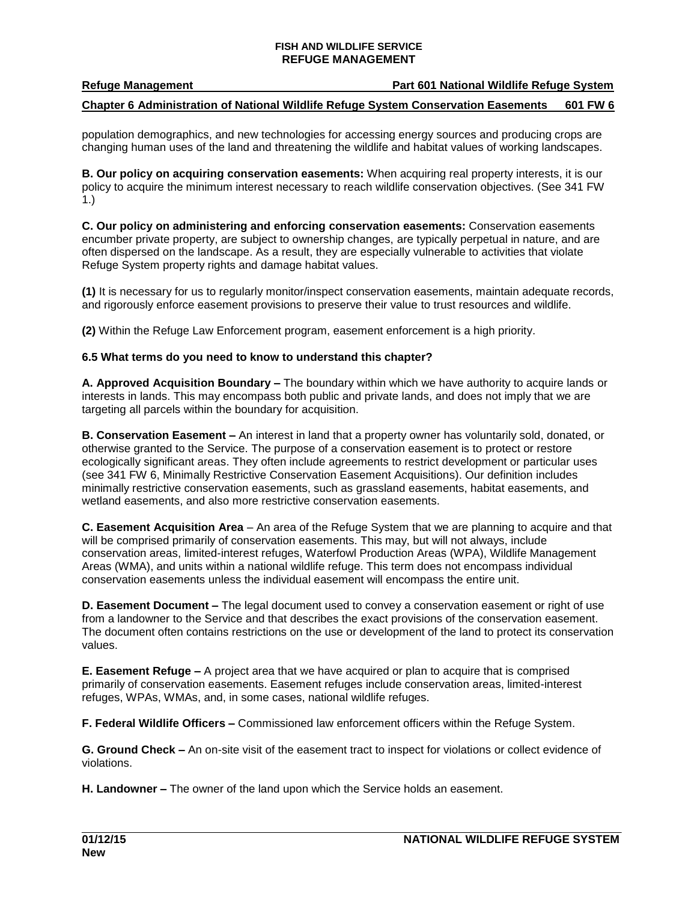**Refuge Management Part 601 National Wildlife Refuge System**

## **Chapter 6 Administration of National Wildlife Refuge System Conservation Easements 601 FW 6**

population demographics, and new technologies for accessing energy sources and producing crops are changing human uses of the land and threatening the wildlife and habitat values of working landscapes.

**B. Our policy on acquiring conservation easements:** When acquiring real property interests, it is our policy to acquire the minimum interest necessary to reach wildlife conservation objectives. (See 341 FW 1.)

**C. Our policy on administering and enforcing conservation easements:** Conservation easements encumber private property, are subject to ownership changes, are typically perpetual in nature, and are often dispersed on the landscape. As a result, they are especially vulnerable to activities that violate Refuge System property rights and damage habitat values.

**(1)** It is necessary for us to regularly monitor/inspect conservation easements, maintain adequate records, and rigorously enforce easement provisions to preserve their value to trust resources and wildlife.

**(2)** Within the Refuge Law Enforcement program, easement enforcement is a high priority.

## **6.5 What terms do you need to know to understand this chapter?**

**A. Approved Acquisition Boundary –** The boundary within which we have authority to acquire lands or interests in lands. This may encompass both public and private lands, and does not imply that we are targeting all parcels within the boundary for acquisition.

**B. Conservation Easement –** An interest in land that a property owner has voluntarily sold, donated, or otherwise granted to the Service. The purpose of a conservation easement is to protect or restore ecologically significant areas. They often include agreements to restrict development or particular uses (see 341 FW 6, Minimally Restrictive Conservation Easement Acquisitions). Our definition includes minimally restrictive conservation easements, such as grassland easements, habitat easements, and wetland easements, and also more restrictive conservation easements.

**C. Easement Acquisition Area** – An area of the Refuge System that we are planning to acquire and that will be comprised primarily of conservation easements. This may, but will not always, include conservation areas, limited-interest refuges, Waterfowl Production Areas (WPA), Wildlife Management Areas (WMA), and units within a national wildlife refuge. This term does not encompass individual conservation easements unless the individual easement will encompass the entire unit.

**D. Easement Document –** The legal document used to convey a conservation easement or right of use from a landowner to the Service and that describes the exact provisions of the conservation easement. The document often contains restrictions on the use or development of the land to protect its conservation values.

**E. Easement Refuge –** A project area that we have acquired or plan to acquire that is comprised primarily of conservation easements. Easement refuges include conservation areas, limited-interest refuges, WPAs, WMAs, and, in some cases, national wildlife refuges.

**F. Federal Wildlife Officers –** Commissioned law enforcement officers within the Refuge System.

**G. Ground Check –** An on-site visit of the easement tract to inspect for violations or collect evidence of violations.

**H. Landowner –** The owner of the land upon which the Service holds an easement.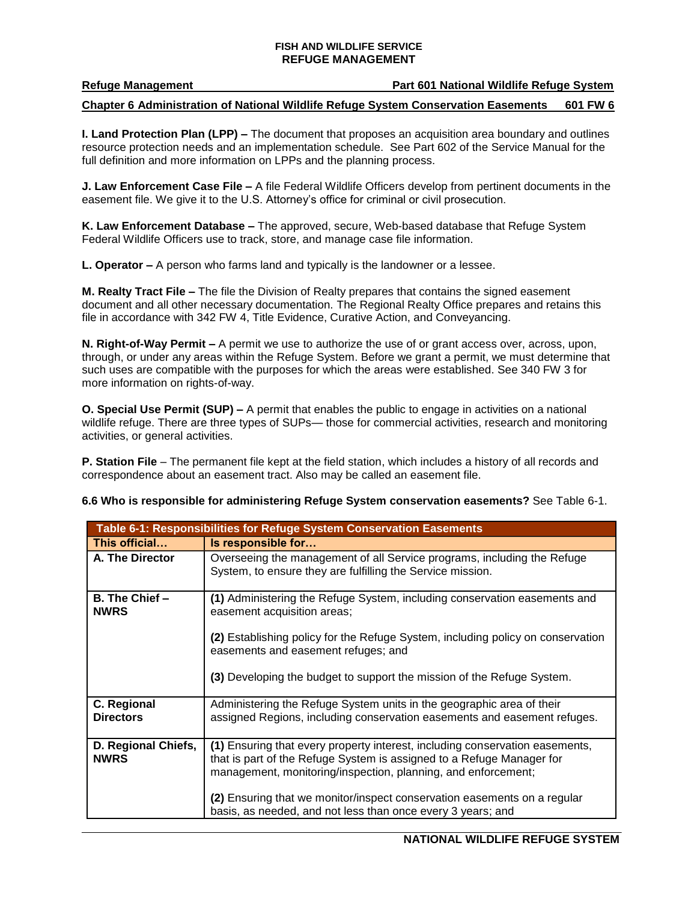### **Refuge Management Part 601 National Wildlife Refuge System**

## **Chapter 6 Administration of National Wildlife Refuge System Conservation Easements 601 FW 6**

**I. Land Protection Plan (LPP) –** The document that proposes an acquisition area boundary and outlines resource protection needs and an implementation schedule. See Part 602 of the Service Manual for the full definition and more information on LPPs and the planning process.

**J. Law Enforcement Case File –** A file Federal Wildlife Officers develop from pertinent documents in the easement file. We give it to the U.S. Attorney's office for criminal or civil prosecution.

**K. Law Enforcement Database –** The approved, secure, Web-based database that Refuge System Federal Wildlife Officers use to track, store, and manage case file information.

**L. Operator –** A person who farms land and typically is the landowner or a lessee.

**M. Realty Tract File –** The file the Division of Realty prepares that contains the signed easement document and all other necessary documentation. The Regional Realty Office prepares and retains this file in accordance with 342 FW 4, Title Evidence, Curative Action, and Conveyancing.

**N. Right-of-Way Permit –** A permit we use to authorize the use of or grant access over, across, upon, through, or under any areas within the Refuge System. Before we grant a permit, we must determine that such uses are compatible with the purposes for which the areas were established. See 340 FW 3 for more information on rights-of-way.

**O. Special Use Permit (SUP) –** A permit that enables the public to engage in activities on a national wildlife refuge. There are three types of SUPs— those for commercial activities, research and monitoring activities, or general activities.

**P. Station File** – The permanent file kept at the field station, which includes a history of all records and correspondence about an easement tract. Also may be called an easement file.

**6.6 Who is responsible for administering Refuge System conservation easements?** See Table 6-1.

| Table 6-1: Responsibilities for Refuge System Conservation Easements |                                                                                                                                                                                                                                                                                                                                                                   |  |
|----------------------------------------------------------------------|-------------------------------------------------------------------------------------------------------------------------------------------------------------------------------------------------------------------------------------------------------------------------------------------------------------------------------------------------------------------|--|
| This official                                                        | Is responsible for                                                                                                                                                                                                                                                                                                                                                |  |
| A. The Director                                                      | Overseeing the management of all Service programs, including the Refuge<br>System, to ensure they are fulfilling the Service mission.                                                                                                                                                                                                                             |  |
| B. The Chief -<br><b>NWRS</b>                                        | (1) Administering the Refuge System, including conservation easements and<br>easement acquisition areas;                                                                                                                                                                                                                                                          |  |
|                                                                      | (2) Establishing policy for the Refuge System, including policy on conservation<br>easements and easement refuges; and                                                                                                                                                                                                                                            |  |
|                                                                      | (3) Developing the budget to support the mission of the Refuge System.                                                                                                                                                                                                                                                                                            |  |
| C. Regional<br><b>Directors</b>                                      | Administering the Refuge System units in the geographic area of their<br>assigned Regions, including conservation easements and easement refuges.                                                                                                                                                                                                                 |  |
| D. Regional Chiefs,<br><b>NWRS</b>                                   | (1) Ensuring that every property interest, including conservation easements,<br>that is part of the Refuge System is assigned to a Refuge Manager for<br>management, monitoring/inspection, planning, and enforcement;<br>(2) Ensuring that we monitor/inspect conservation easements on a regular<br>basis, as needed, and not less than once every 3 years; and |  |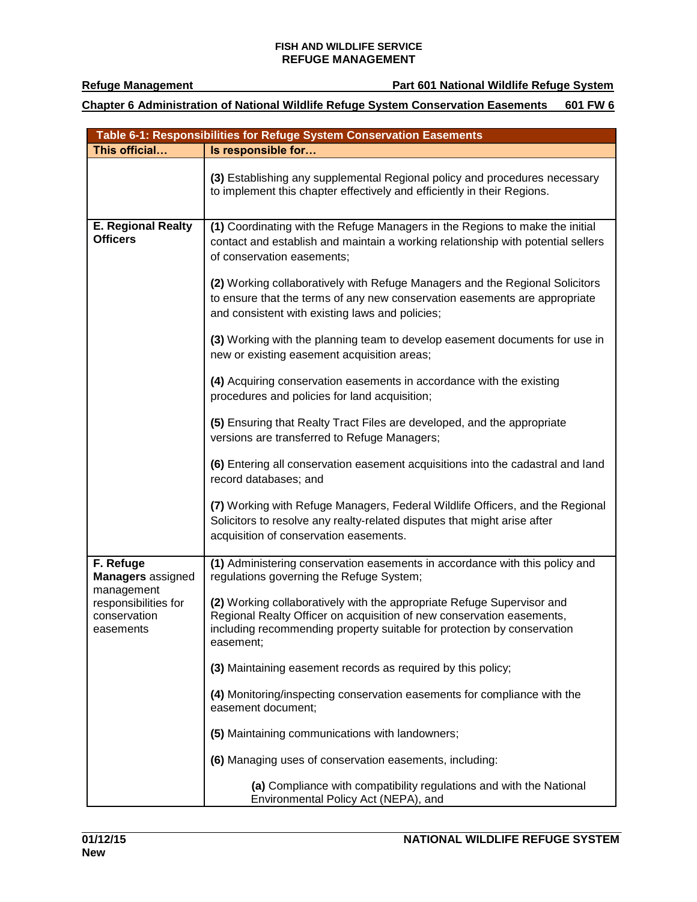## **Chapter 6 Administration of National Wildlife Refuge System Conservation Easements 601 FW 6**

| Table 6-1: Responsibilities for Refuge System Conservation Easements |                                                                                                                                                                                                                                         |  |
|----------------------------------------------------------------------|-----------------------------------------------------------------------------------------------------------------------------------------------------------------------------------------------------------------------------------------|--|
| This official                                                        | Is responsible for                                                                                                                                                                                                                      |  |
|                                                                      | (3) Establishing any supplemental Regional policy and procedures necessary<br>to implement this chapter effectively and efficiently in their Regions.                                                                                   |  |
| <b>E. Regional Realty</b><br><b>Officers</b>                         | (1) Coordinating with the Refuge Managers in the Regions to make the initial<br>contact and establish and maintain a working relationship with potential sellers<br>of conservation easements;                                          |  |
|                                                                      | (2) Working collaboratively with Refuge Managers and the Regional Solicitors<br>to ensure that the terms of any new conservation easements are appropriate<br>and consistent with existing laws and policies;                           |  |
|                                                                      | (3) Working with the planning team to develop easement documents for use in<br>new or existing easement acquisition areas;                                                                                                              |  |
|                                                                      | (4) Acquiring conservation easements in accordance with the existing<br>procedures and policies for land acquisition;                                                                                                                   |  |
|                                                                      | (5) Ensuring that Realty Tract Files are developed, and the appropriate<br>versions are transferred to Refuge Managers;                                                                                                                 |  |
|                                                                      | (6) Entering all conservation easement acquisitions into the cadastral and land<br>record databases; and                                                                                                                                |  |
|                                                                      | (7) Working with Refuge Managers, Federal Wildlife Officers, and the Regional<br>Solicitors to resolve any realty-related disputes that might arise after<br>acquisition of conservation easements.                                     |  |
| F. Refuge<br><b>Managers</b> assigned<br>management                  | (1) Administering conservation easements in accordance with this policy and<br>regulations governing the Refuge System;                                                                                                                 |  |
| responsibilities for<br>conservation<br>easements                    | (2) Working collaboratively with the appropriate Refuge Supervisor and<br>Regional Realty Officer on acquisition of new conservation easements,<br>including recommending property suitable for protection by conservation<br>easement; |  |
|                                                                      | (3) Maintaining easement records as required by this policy;                                                                                                                                                                            |  |
|                                                                      | (4) Monitoring/inspecting conservation easements for compliance with the<br>easement document;                                                                                                                                          |  |
|                                                                      | (5) Maintaining communications with landowners;                                                                                                                                                                                         |  |
|                                                                      | (6) Managing uses of conservation easements, including:                                                                                                                                                                                 |  |
|                                                                      | (a) Compliance with compatibility regulations and with the National<br>Environmental Policy Act (NEPA), and                                                                                                                             |  |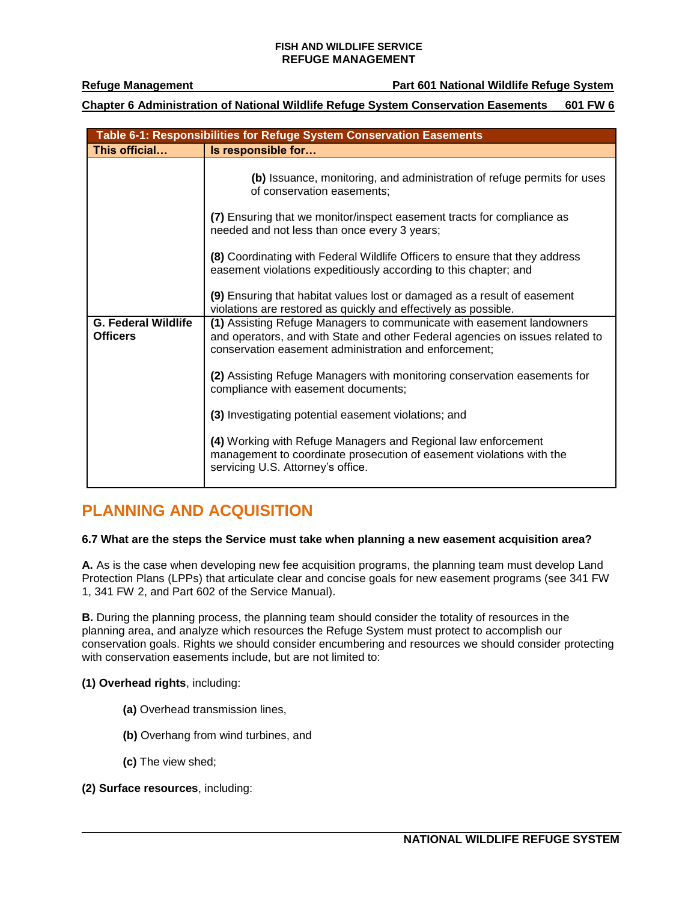**Refuge Management Part 601 National Wildlife Refuge System**

**Chapter 6 Administration of National Wildlife Refuge System Conservation Easements 601 FW 6**

|                                               | Table 6-1: Responsibilities for Refuge System Conservation Easements                                                                                                                                            |
|-----------------------------------------------|-----------------------------------------------------------------------------------------------------------------------------------------------------------------------------------------------------------------|
| This official                                 | Is responsible for                                                                                                                                                                                              |
|                                               | (b) Issuance, monitoring, and administration of refuge permits for uses<br>of conservation easements;                                                                                                           |
|                                               | (7) Ensuring that we monitor/inspect easement tracts for compliance as<br>needed and not less than once every 3 years;                                                                                          |
|                                               | (8) Coordinating with Federal Wildlife Officers to ensure that they address<br>easement violations expeditiously according to this chapter; and                                                                 |
|                                               | (9) Ensuring that habitat values lost or damaged as a result of easement<br>violations are restored as quickly and effectively as possible.                                                                     |
| <b>G. Federal Wildlife</b><br><b>Officers</b> | (1) Assisting Refuge Managers to communicate with easement landowners<br>and operators, and with State and other Federal agencies on issues related to<br>conservation easement administration and enforcement; |
|                                               | (2) Assisting Refuge Managers with monitoring conservation easements for<br>compliance with easement documents;                                                                                                 |
|                                               | (3) Investigating potential easement violations; and                                                                                                                                                            |
|                                               | (4) Working with Refuge Managers and Regional law enforcement<br>management to coordinate prosecution of easement violations with the<br>servicing U.S. Attorney's office.                                      |

# <span id="page-5-0"></span>**PLANNING AND ACQUISITION**

## **6.7 What are the steps the Service must take when planning a new easement acquisition area?**

**A.** As is the case when developing new fee acquisition programs, the planning team must develop Land Protection Plans (LPPs) that articulate clear and concise goals for new easement programs (see 341 FW 1, 341 FW 2, and Part 602 of the Service Manual).

**B.** During the planning process, the planning team should consider the totality of resources in the planning area, and analyze which resources the Refuge System must protect to accomplish our conservation goals. Rights we should consider encumbering and resources we should consider protecting with conservation easements include, but are not limited to:

## **(1) Overhead rights**, including:

- **(a)** Overhead transmission lines,
- **(b)** Overhang from wind turbines, and
- **(c)** The view shed;

## **(2) Surface resources**, including: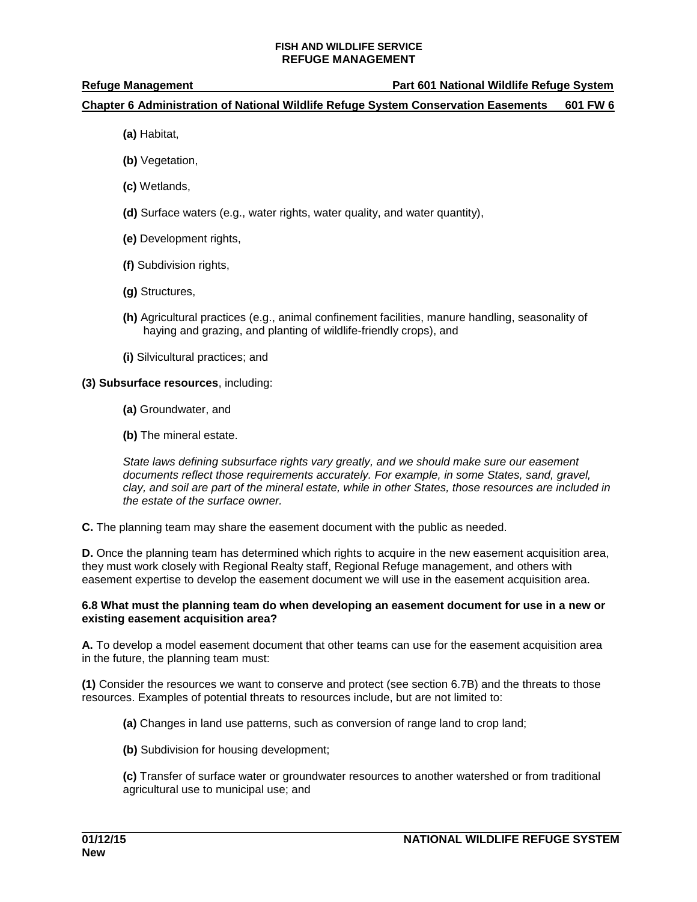## **Chapter 6 Administration of National Wildlife Refuge System Conservation Easements 601 FW 6**

- **(a)** Habitat,
- **(b)** Vegetation,
- **(c)** Wetlands,
- **(d)** Surface waters (e.g., water rights, water quality, and water quantity),
- **(e)** Development rights,
- **(f)** Subdivision rights,
- **(g)** Structures,
- **(h)** Agricultural practices (e.g., animal confinement facilities, manure handling, seasonality of haying and grazing, and planting of wildlife-friendly crops), and
- **(i)** Silvicultural practices; and

## **(3) Subsurface resources**, including:

- **(a)** Groundwater, and
- **(b)** The mineral estate.

*State laws defining subsurface rights vary greatly, and we should make sure our easement documents reflect those requirements accurately. For example, in some States, sand, gravel, clay, and soil are part of the mineral estate, while in other States, those resources are included in the estate of the surface owner.*

**C.** The planning team may share the easement document with the public as needed.

**D.** Once the planning team has determined which rights to acquire in the new easement acquisition area, they must work closely with Regional Realty staff, Regional Refuge management, and others with easement expertise to develop the easement document we will use in the easement acquisition area.

### **6.8 What must the planning team do when developing an easement document for use in a new or existing easement acquisition area?**

**A.** To develop a model easement document that other teams can use for the easement acquisition area in the future, the planning team must:

**(1)** Consider the resources we want to conserve and protect (see section 6.7B) and the threats to those resources. Examples of potential threats to resources include, but are not limited to:

- **(a)** Changes in land use patterns, such as conversion of range land to crop land;
- **(b)** Subdivision for housing development;

**(c)** Transfer of surface water or groundwater resources to another watershed or from traditional agricultural use to municipal use; and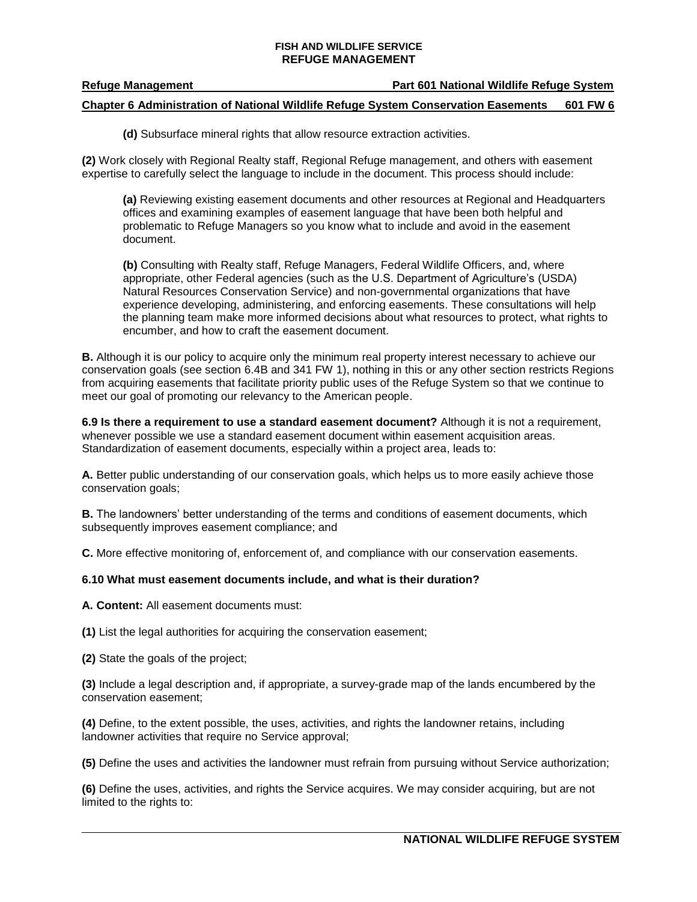## **Refuge Management Part 601 National Wildlife Refuge System**

## **Chapter 6 Administration of National Wildlife Refuge System Conservation Easements 601 FW 6**

**(d)** Subsurface mineral rights that allow resource extraction activities.

**(2)** Work closely with Regional Realty staff, Regional Refuge management, and others with easement expertise to carefully select the language to include in the document. This process should include:

**(a)** Reviewing existing easement documents and other resources at Regional and Headquarters offices and examining examples of easement language that have been both helpful and problematic to Refuge Managers so you know what to include and avoid in the easement document.

**(b)** Consulting with Realty staff, Refuge Managers, Federal Wildlife Officers, and, where appropriate, other Federal agencies (such as the U.S. Department of Agriculture's (USDA) Natural Resources Conservation Service) and non-governmental organizations that have experience developing, administering, and enforcing easements. These consultations will help the planning team make more informed decisions about what resources to protect, what rights to encumber, and how to craft the easement document.

**B.** Although it is our policy to acquire only the minimum real property interest necessary to achieve our conservation goals (see section 6.4B and 341 FW 1), nothing in this or any other section restricts Regions from acquiring easements that facilitate priority public uses of the Refuge System so that we continue to meet our goal of promoting our relevancy to the American people.

**6.9 Is there a requirement to use a standard easement document?** Although it is not a requirement, whenever possible we use a standard easement document within easement acquisition areas. Standardization of easement documents, especially within a project area, leads to:

**A.** Better public understanding of our conservation goals, which helps us to more easily achieve those conservation goals;

**B.** The landowners' better understanding of the terms and conditions of easement documents, which subsequently improves easement compliance; and

**C.** More effective monitoring of, enforcement of, and compliance with our conservation easements.

#### **6.10 What must easement documents include, and what is their duration?**

**A. Content:** All easement documents must:

**(1)** List the legal authorities for acquiring the conservation easement;

**(2)** State the goals of the project;

**(3)** Include a legal description and, if appropriate, a survey-grade map of the lands encumbered by the conservation easement;

**(4)** Define, to the extent possible, the uses, activities, and rights the landowner retains, including landowner activities that require no Service approval;

**(5)** Define the uses and activities the landowner must refrain from pursuing without Service authorization;

**(6)** Define the uses, activities, and rights the Service acquires. We may consider acquiring, but are not limited to the rights to: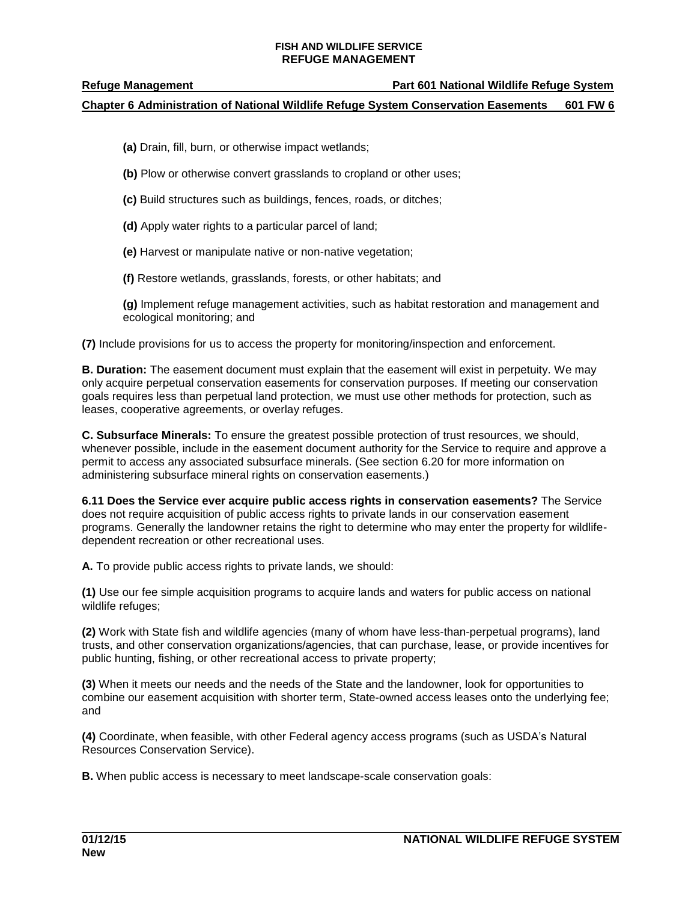## **Chapter 6 Administration of National Wildlife Refuge System Conservation Easements 601 FW 6**

- **(a)** Drain, fill, burn, or otherwise impact wetlands;
- **(b)** Plow or otherwise convert grasslands to cropland or other uses;
- **(c)** Build structures such as buildings, fences, roads, or ditches;
- **(d)** Apply water rights to a particular parcel of land;
- **(e)** Harvest or manipulate native or non-native vegetation;
- **(f)** Restore wetlands, grasslands, forests, or other habitats; and

**(g)** Implement refuge management activities, such as habitat restoration and management and ecological monitoring; and

**(7)** Include provisions for us to access the property for monitoring/inspection and enforcement.

**B. Duration:** The easement document must explain that the easement will exist in perpetuity. We may only acquire perpetual conservation easements for conservation purposes. If meeting our conservation goals requires less than perpetual land protection, we must use other methods for protection, such as leases, cooperative agreements, or overlay refuges.

**C. Subsurface Minerals:** To ensure the greatest possible protection of trust resources, we should, whenever possible, include in the easement document authority for the Service to require and approve a permit to access any associated subsurface minerals. (See section 6.20 for more information on administering subsurface mineral rights on conservation easements.)

**6.11 Does the Service ever acquire public access rights in conservation easements?** The Service does not require acquisition of public access rights to private lands in our conservation easement programs. Generally the landowner retains the right to determine who may enter the property for wildlifedependent recreation or other recreational uses.

**A.** To provide public access rights to private lands, we should:

**(1)** Use our fee simple acquisition programs to acquire lands and waters for public access on national wildlife refuges;

**(2)** Work with State fish and wildlife agencies (many of whom have less-than-perpetual programs), land trusts, and other conservation organizations/agencies, that can purchase, lease, or provide incentives for public hunting, fishing, or other recreational access to private property;

**(3)** When it meets our needs and the needs of the State and the landowner, look for opportunities to combine our easement acquisition with shorter term, State-owned access leases onto the underlying fee; and

**(4)** Coordinate, when feasible, with other Federal agency access programs (such as USDA's Natural Resources Conservation Service).

**B.** When public access is necessary to meet landscape-scale conservation goals: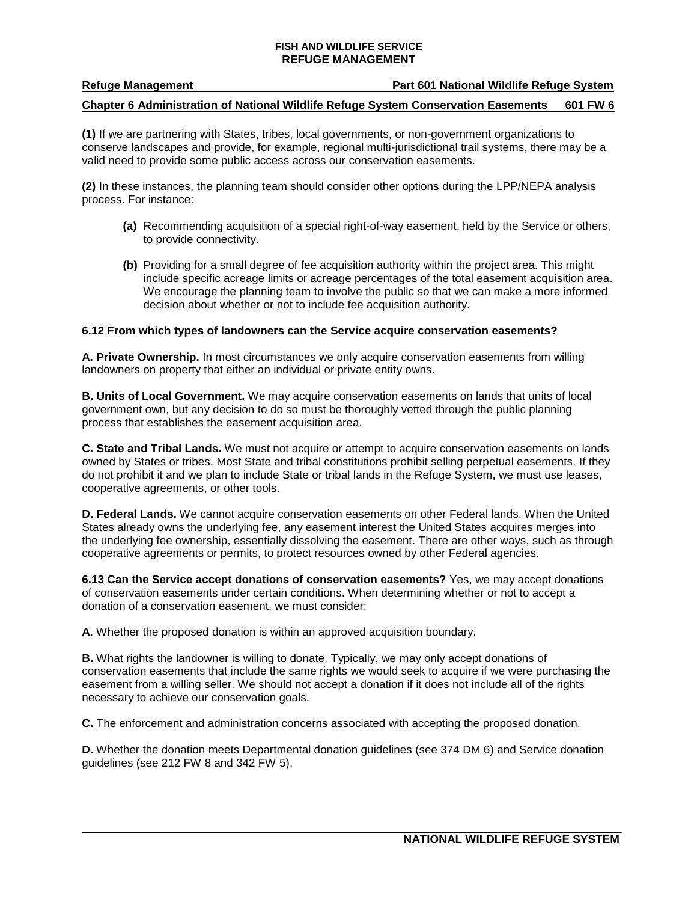**Refuge Management Part 601 National Wildlife Refuge System**

#### **Chapter 6 Administration of National Wildlife Refuge System Conservation Easements 601 FW 6**

**(1)** If we are partnering with States, tribes, local governments, or non-government organizations to conserve landscapes and provide, for example, regional multi-jurisdictional trail systems, there may be a valid need to provide some public access across our conservation easements.

**(2)** In these instances, the planning team should consider other options during the LPP/NEPA analysis process. For instance:

- **(a)** Recommending acquisition of a special right-of-way easement, held by the Service or others, to provide connectivity.
- **(b)** Providing for a small degree of fee acquisition authority within the project area. This might include specific acreage limits or acreage percentages of the total easement acquisition area. We encourage the planning team to involve the public so that we can make a more informed decision about whether or not to include fee acquisition authority.

#### **6.12 From which types of landowners can the Service acquire conservation easements?**

**A. Private Ownership.** In most circumstances we only acquire conservation easements from willing landowners on property that either an individual or private entity owns.

**B. Units of Local Government.** We may acquire conservation easements on lands that units of local government own, but any decision to do so must be thoroughly vetted through the public planning process that establishes the easement acquisition area.

**C. State and Tribal Lands.** We must not acquire or attempt to acquire conservation easements on lands owned by States or tribes. Most State and tribal constitutions prohibit selling perpetual easements. If they do not prohibit it and we plan to include State or tribal lands in the Refuge System, we must use leases, cooperative agreements, or other tools.

**D. Federal Lands.** We cannot acquire conservation easements on other Federal lands. When the United States already owns the underlying fee, any easement interest the United States acquires merges into the underlying fee ownership, essentially dissolving the easement. There are other ways, such as through cooperative agreements or permits, to protect resources owned by other Federal agencies.

**6.13 Can the Service accept donations of conservation easements?** Yes, we may accept donations of conservation easements under certain conditions. When determining whether or not to accept a donation of a conservation easement, we must consider:

**A.** Whether the proposed donation is within an approved acquisition boundary.

**B.** What rights the landowner is willing to donate. Typically, we may only accept donations of conservation easements that include the same rights we would seek to acquire if we were purchasing the easement from a willing seller. We should not accept a donation if it does not include all of the rights necessary to achieve our conservation goals.

**C.** The enforcement and administration concerns associated with accepting the proposed donation.

**D.** Whether the donation meets Departmental donation guidelines (see 374 DM 6) and Service donation guidelines (see 212 FW 8 and 342 FW 5).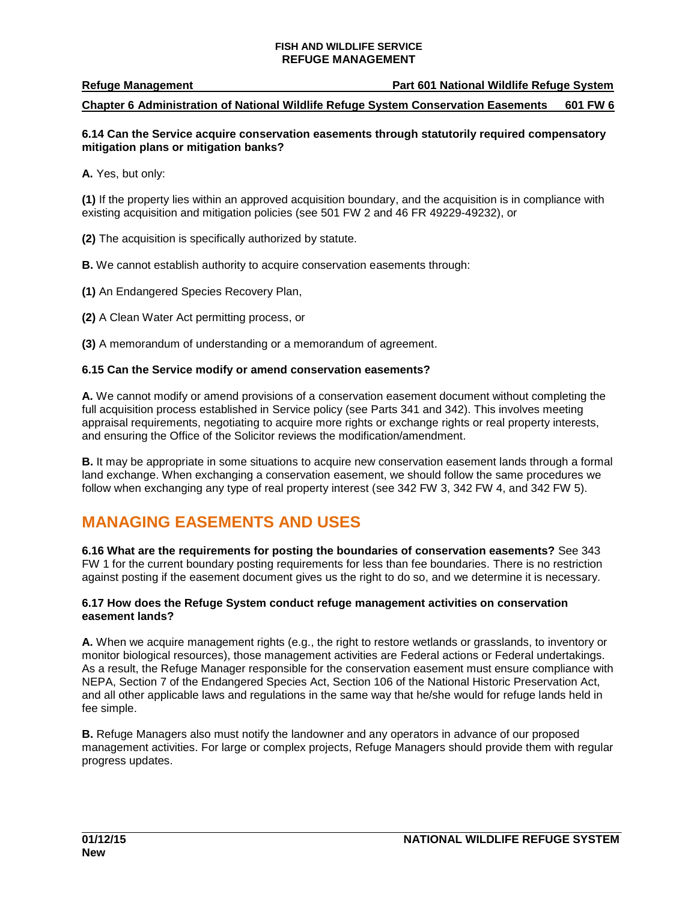**Refuge Management Part 601 National Wildlife Refuge System**

**Chapter 6 Administration of National Wildlife Refuge System Conservation Easements 601 FW 6**

## **6.14 Can the Service acquire conservation easements through statutorily required compensatory mitigation plans or mitigation banks?**

**A.** Yes, but only:

**(1)** If the property lies within an approved acquisition boundary, and the acquisition is in compliance with existing acquisition and mitigation policies (see 501 FW 2 and 46 FR 49229-49232), or

**(2)** The acquisition is specifically authorized by statute.

**B.** We cannot establish authority to acquire conservation easements through:

**(1)** An Endangered Species Recovery Plan,

**(2)** A Clean Water Act permitting process, or

**(3)** A memorandum of understanding or a memorandum of agreement.

## **6.15 Can the Service modify or amend conservation easements?**

**A.** We cannot modify or amend provisions of a conservation easement document without completing the full acquisition process established in Service policy (see Parts 341 and 342). This involves meeting appraisal requirements, negotiating to acquire more rights or exchange rights or real property interests, and ensuring the Office of the Solicitor reviews the modification/amendment.

**B.** It may be appropriate in some situations to acquire new conservation easement lands through a formal land exchange. When exchanging a conservation easement, we should follow the same procedures we follow when exchanging any type of real property interest (see 342 FW 3, 342 FW 4, and 342 FW 5).

## <span id="page-10-0"></span>**MANAGING EASEMENTS AND USES**

**6.16 What are the requirements for posting the boundaries of conservation easements?** See 343 FW 1 for the current boundary posting requirements for less than fee boundaries. There is no restriction against posting if the easement document gives us the right to do so, and we determine it is necessary.

#### **6.17 How does the Refuge System conduct refuge management activities on conservation easement lands?**

**A.** When we acquire management rights (e.g., the right to restore wetlands or grasslands, to inventory or monitor biological resources), those management activities are Federal actions or Federal undertakings. As a result, the Refuge Manager responsible for the conservation easement must ensure compliance with NEPA, Section 7 of the Endangered Species Act, Section 106 of the National Historic Preservation Act, and all other applicable laws and regulations in the same way that he/she would for refuge lands held in fee simple.

**B.** Refuge Managers also must notify the landowner and any operators in advance of our proposed management activities. For large or complex projects, Refuge Managers should provide them with regular progress updates.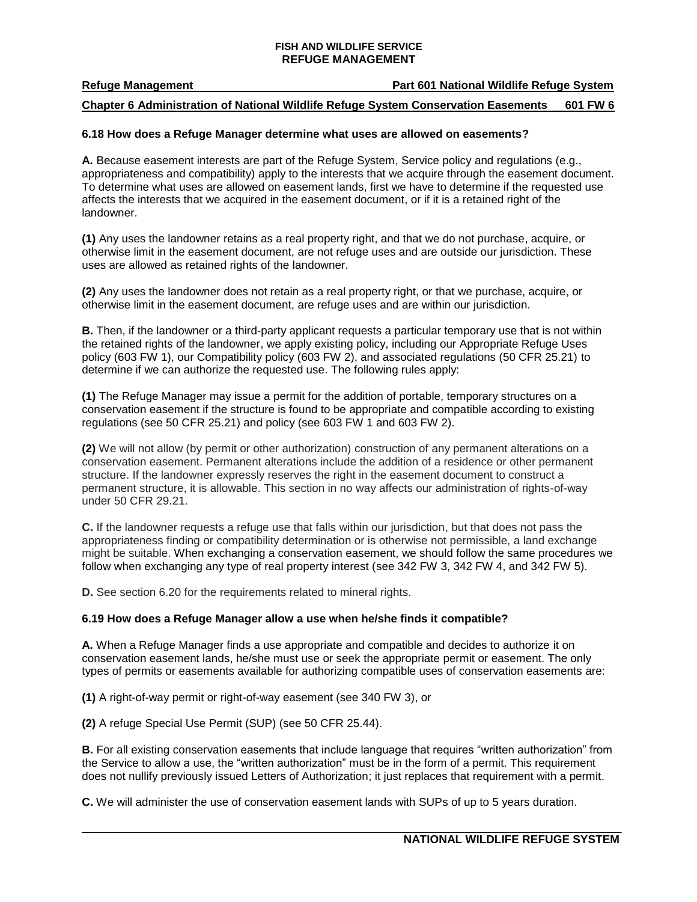**Refuge Management Part 601 National Wildlife Refuge System**

## **Chapter 6 Administration of National Wildlife Refuge System Conservation Easements 601 FW 6**

#### **6.18 How does a Refuge Manager determine what uses are allowed on easements?**

**A.** Because easement interests are part of the Refuge System, Service policy and regulations (e.g., appropriateness and compatibility) apply to the interests that we acquire through the easement document. To determine what uses are allowed on easement lands, first we have to determine if the requested use affects the interests that we acquired in the easement document, or if it is a retained right of the landowner.

**(1)** Any uses the landowner retains as a real property right, and that we do not purchase, acquire, or otherwise limit in the easement document, are not refuge uses and are outside our jurisdiction. These uses are allowed as retained rights of the landowner.

**(2)** Any uses the landowner does not retain as a real property right, or that we purchase, acquire, or otherwise limit in the easement document, are refuge uses and are within our jurisdiction.

**B.** Then, if the landowner or a third-party applicant requests a particular temporary use that is not within the retained rights of the landowner, we apply existing policy, including our Appropriate Refuge Uses policy (603 FW 1), our Compatibility policy (603 FW 2), and associated regulations (50 CFR 25.21) to determine if we can authorize the requested use. The following rules apply:

**(1)** The Refuge Manager may issue a permit for the addition of portable, temporary structures on a conservation easement if the structure is found to be appropriate and compatible according to existing regulations (see 50 CFR 25.21) and policy (see 603 FW 1 and 603 FW 2).

**(2)** We will not allow (by permit or other authorization) construction of any permanent alterations on a conservation easement. Permanent alterations include the addition of a residence or other permanent structure. If the landowner expressly reserves the right in the easement document to construct a permanent structure, it is allowable. This section in no way affects our administration of rights-of-way under 50 CFR 29.21.

**C.** If the landowner requests a refuge use that falls within our jurisdiction, but that does not pass the appropriateness finding or compatibility determination or is otherwise not permissible, a land exchange might be suitable. When exchanging a conservation easement, we should follow the same procedures we follow when exchanging any type of real property interest (see 342 FW 3, 342 FW 4, and 342 FW 5).

**D.** See section 6.20 for the requirements related to mineral rights.

#### **6.19 How does a Refuge Manager allow a use when he/she finds it compatible?**

**A.** When a Refuge Manager finds a use appropriate and compatible and decides to authorize it on conservation easement lands, he/she must use or seek the appropriate permit or easement. The only types of permits or easements available for authorizing compatible uses of conservation easements are:

**(1)** A right-of-way permit or right-of-way easement (see 340 FW 3), or

**(2)** A refuge Special Use Permit (SUP) (see 50 CFR 25.44).

**B.** For all existing conservation easements that include language that requires "written authorization" from the Service to allow a use, the "written authorization" must be in the form of a permit. This requirement does not nullify previously issued Letters of Authorization; it just replaces that requirement with a permit.

**C.** We will administer the use of conservation easement lands with SUPs of up to 5 years duration.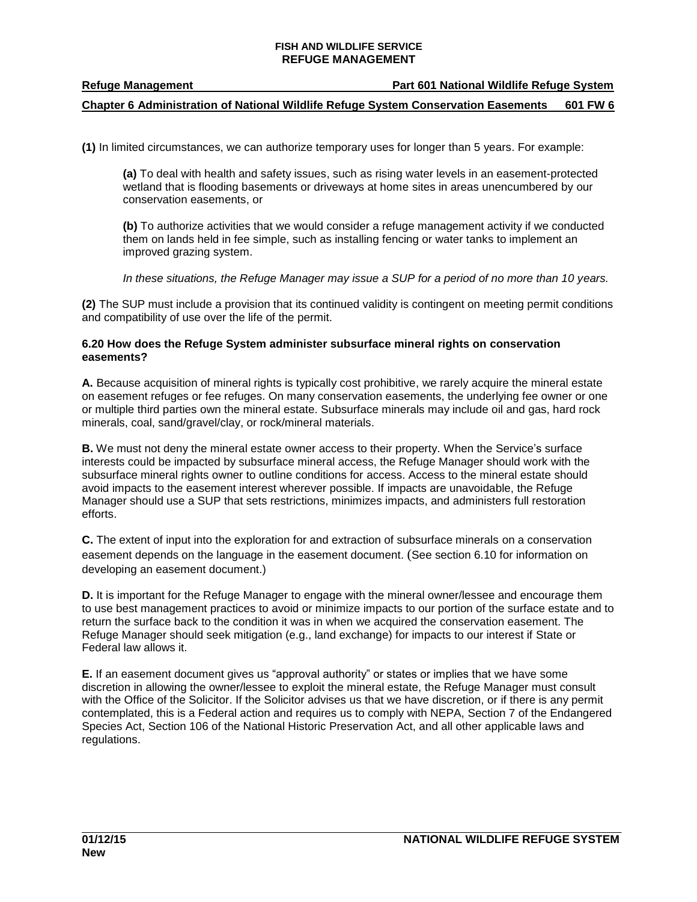## **Chapter 6 Administration of National Wildlife Refuge System Conservation Easements 601 FW 6**

**(1)** In limited circumstances, we can authorize temporary uses for longer than 5 years. For example:

**(a)** To deal with health and safety issues, such as rising water levels in an easement-protected wetland that is flooding basements or driveways at home sites in areas unencumbered by our conservation easements, or

**(b)** To authorize activities that we would consider a refuge management activity if we conducted them on lands held in fee simple, such as installing fencing or water tanks to implement an improved grazing system.

*In these situations, the Refuge Manager may issue a SUP for a period of no more than 10 years.* 

**(2)** The SUP must include a provision that its continued validity is contingent on meeting permit conditions and compatibility of use over the life of the permit.

### **6.20 How does the Refuge System administer subsurface mineral rights on conservation easements?**

**A.** Because acquisition of mineral rights is typically cost prohibitive, we rarely acquire the mineral estate on easement refuges or fee refuges. On many conservation easements, the underlying fee owner or one or multiple third parties own the mineral estate. Subsurface minerals may include oil and gas, hard rock minerals, coal, sand/gravel/clay, or rock/mineral materials.

**B.** We must not deny the mineral estate owner access to their property. When the Service's surface interests could be impacted by subsurface mineral access, the Refuge Manager should work with the subsurface mineral rights owner to outline conditions for access. Access to the mineral estate should avoid impacts to the easement interest wherever possible. If impacts are unavoidable, the Refuge Manager should use a SUP that sets restrictions, minimizes impacts, and administers full restoration efforts.

**C.** The extent of input into the exploration for and extraction of subsurface minerals on a conservation easement depends on the language in the easement document. (See section 6.10 for information on developing an easement document.)

**D.** It is important for the Refuge Manager to engage with the mineral owner/lessee and encourage them to use best management practices to avoid or minimize impacts to our portion of the surface estate and to return the surface back to the condition it was in when we acquired the conservation easement. The Refuge Manager should seek mitigation (e.g., land exchange) for impacts to our interest if State or Federal law allows it.

**E.** If an easement document gives us "approval authority" or states or implies that we have some discretion in allowing the owner/lessee to exploit the mineral estate, the Refuge Manager must consult with the Office of the Solicitor. If the Solicitor advises us that we have discretion, or if there is any permit contemplated, this is a Federal action and requires us to comply with NEPA, Section 7 of the Endangered Species Act, Section 106 of the National Historic Preservation Act, and all other applicable laws and regulations.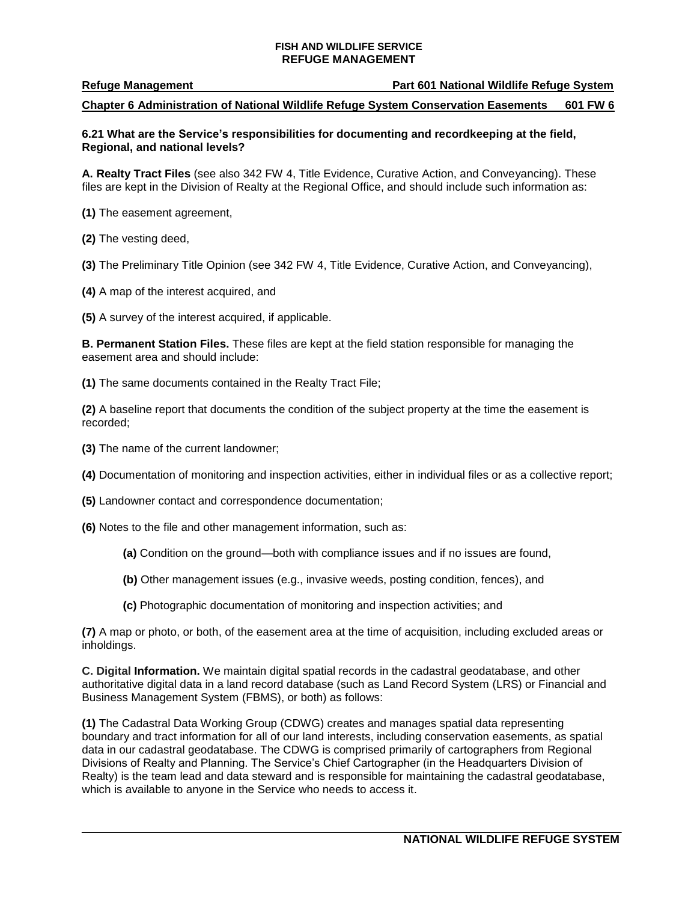#### **Refuge Management Part 601 National Wildlife Refuge System**

#### **Chapter 6 Administration of National Wildlife Refuge System Conservation Easements 601 FW 6**

#### **6.21 What are the Service's responsibilities for documenting and recordkeeping at the field, Regional, and national levels?**

**A. Realty Tract Files** (see also 342 FW 4, Title Evidence, Curative Action, and Conveyancing). These files are kept in the Division of Realty at the Regional Office, and should include such information as:

**(1)** The easement agreement,

**(2)** The vesting deed,

**(3)** The Preliminary Title Opinion (see 342 FW 4, Title Evidence, Curative Action, and Conveyancing),

**(4)** A map of the interest acquired, and

**(5)** A survey of the interest acquired, if applicable.

**B. Permanent Station Files.** These files are kept at the field station responsible for managing the easement area and should include:

**(1)** The same documents contained in the Realty Tract File;

**(2)** A baseline report that documents the condition of the subject property at the time the easement is recorded;

**(3)** The name of the current landowner;

**(4)** Documentation of monitoring and inspection activities, either in individual files or as a collective report;

**(5)** Landowner contact and correspondence documentation;

**(6)** Notes to the file and other management information, such as:

**(a)** Condition on the ground—both with compliance issues and if no issues are found,

**(b)** Other management issues (e.g., invasive weeds, posting condition, fences), and

**(c)** Photographic documentation of monitoring and inspection activities; and

**(7)** A map or photo, or both, of the easement area at the time of acquisition, including excluded areas or inholdings.

**C. Digital Information.** We maintain digital spatial records in the cadastral geodatabase, and other authoritative digital data in a land record database (such as Land Record System (LRS) or Financial and Business Management System (FBMS), or both) as follows:

**(1)** The Cadastral Data Working Group (CDWG) creates and manages spatial data representing boundary and tract information for all of our land interests, including conservation easements, as spatial data in our cadastral geodatabase. The CDWG is comprised primarily of cartographers from Regional Divisions of Realty and Planning. The Service's Chief Cartographer (in the Headquarters Division of Realty) is the team lead and data steward and is responsible for maintaining the cadastral geodatabase, which is available to anyone in the Service who needs to access it.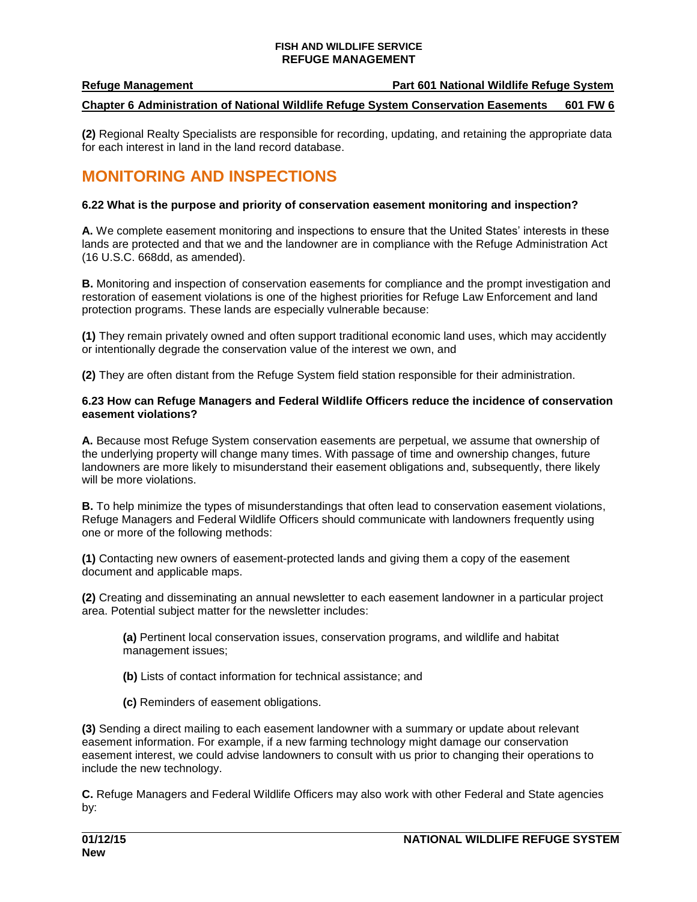## **Chapter 6 Administration of National Wildlife Refuge System Conservation Easements 601 FW 6**

**(2)** Regional Realty Specialists are responsible for recording, updating, and retaining the appropriate data for each interest in land in the land record database.

# **MONITORING AND INSPECTIONS**

## **6.22 What is the purpose and priority of conservation easement monitoring and inspection?**

**A.** We complete easement monitoring and inspections to ensure that the United States' interests in these lands are protected and that we and the landowner are in compliance with the Refuge Administration Act (16 U.S.C. 668dd, as amended).

**B.** Monitoring and inspection of conservation easements for compliance and the prompt investigation and restoration of easement violations is one of the highest priorities for Refuge Law Enforcement and land protection programs. These lands are especially vulnerable because:

**(1)** They remain privately owned and often support traditional economic land uses, which may accidently or intentionally degrade the conservation value of the interest we own, and

**(2)** They are often distant from the Refuge System field station responsible for their administration.

## **6.23 How can Refuge Managers and Federal Wildlife Officers reduce the incidence of conservation easement violations?**

**A.** Because most Refuge System conservation easements are perpetual, we assume that ownership of the underlying property will change many times. With passage of time and ownership changes, future landowners are more likely to misunderstand their easement obligations and, subsequently, there likely will be more violations.

**B.** To help minimize the types of misunderstandings that often lead to conservation easement violations, Refuge Managers and Federal Wildlife Officers should communicate with landowners frequently using one or more of the following methods:

**(1)** Contacting new owners of easement-protected lands and giving them a copy of the easement document and applicable maps.

**(2)** Creating and disseminating an annual newsletter to each easement landowner in a particular project area. Potential subject matter for the newsletter includes:

**(a)** Pertinent local conservation issues, conservation programs, and wildlife and habitat management issues;

- **(b)** Lists of contact information for technical assistance; and
- **(c)** Reminders of easement obligations.

**(3)** Sending a direct mailing to each easement landowner with a summary or update about relevant easement information. For example, if a new farming technology might damage our conservation easement interest, we could advise landowners to consult with us prior to changing their operations to include the new technology.

**C.** Refuge Managers and Federal Wildlife Officers may also work with other Federal and State agencies by: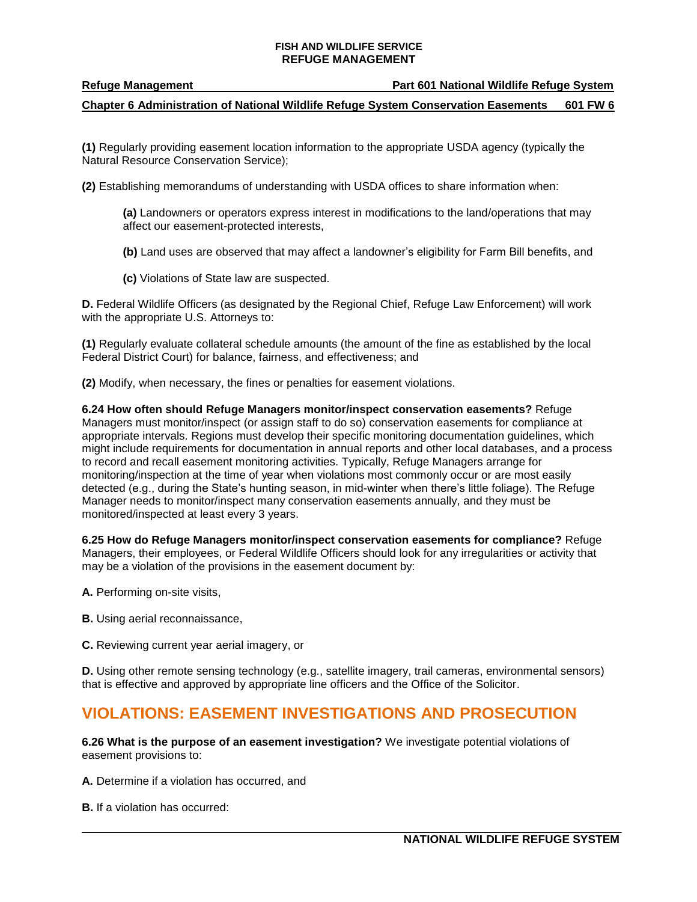**Refuge Management Part 601 National Wildlife Refuge System**

**Chapter 6 Administration of National Wildlife Refuge System Conservation Easements 601 FW 6**

**(1)** Regularly providing easement location information to the appropriate USDA agency (typically the Natural Resource Conservation Service);

**(2)** Establishing memorandums of understanding with USDA offices to share information when:

**(a)** Landowners or operators express interest in modifications to the land/operations that may affect our easement-protected interests,

**(b)** Land uses are observed that may affect a landowner's eligibility for Farm Bill benefits, and

**(c)** Violations of State law are suspected.

**D.** Federal Wildlife Officers (as designated by the Regional Chief, Refuge Law Enforcement) will work with the appropriate U.S. Attorneys to:

**(1)** Regularly evaluate collateral schedule amounts (the amount of the fine as established by the local Federal District Court) for balance, fairness, and effectiveness; and

**(2)** Modify, when necessary, the fines or penalties for easement violations.

**6.24 How often should Refuge Managers monitor/inspect conservation easements?** Refuge Managers must monitor/inspect (or assign staff to do so) conservation easements for compliance at appropriate intervals. Regions must develop their specific monitoring documentation guidelines, which might include requirements for documentation in annual reports and other local databases, and a process to record and recall easement monitoring activities. Typically, Refuge Managers arrange for monitoring/inspection at the time of year when violations most commonly occur or are most easily detected (e.g., during the State's hunting season, in mid-winter when there's little foliage). The Refuge Manager needs to monitor/inspect many conservation easements annually, and they must be monitored/inspected at least every 3 years.

**6.25 How do Refuge Managers monitor/inspect conservation easements for compliance?** Refuge Managers, their employees, or Federal Wildlife Officers should look for any irregularities or activity that may be a violation of the provisions in the easement document by:

**A.** Performing on-site visits,

**B.** Using aerial reconnaissance,

**C.** Reviewing current year aerial imagery, or

**D.** Using other remote sensing technology (e.g., satellite imagery, trail cameras, environmental sensors) that is effective and approved by appropriate line officers and the Office of the Solicitor.

## <span id="page-15-0"></span>**VIOLATIONS: EASEMENT INVESTIGATIONS AND PROSECUTION**

**6.26 What is the purpose of an easement investigation?** We investigate potential violations of easement provisions to:

**A.** Determine if a violation has occurred, and

**B.** If a violation has occurred: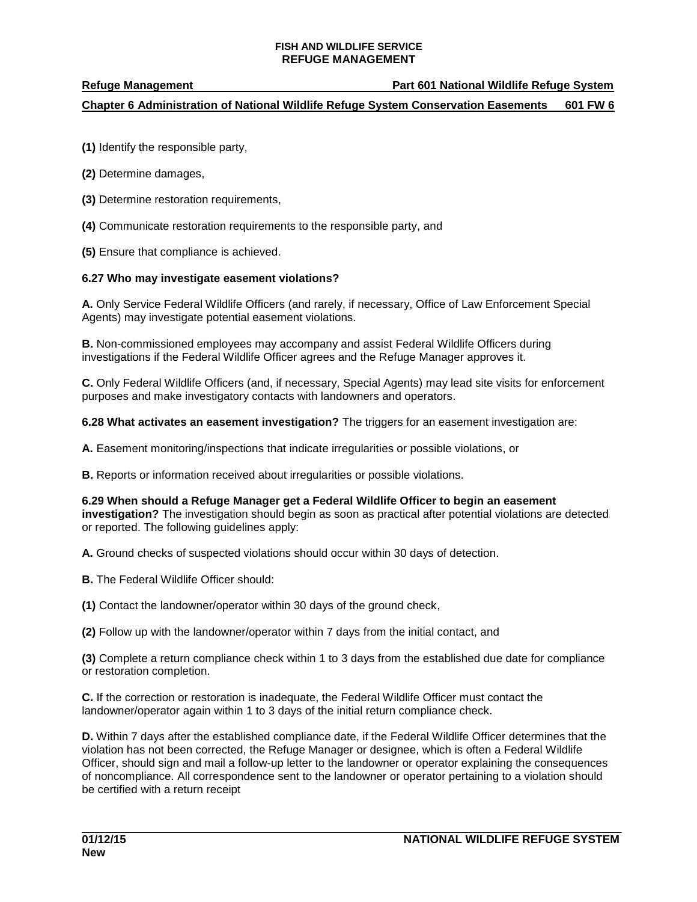### **Refuge Management Part 601 National Wildlife Refuge System**

## **Chapter 6 Administration of National Wildlife Refuge System Conservation Easements 601 FW 6**

- **(1)** Identify the responsible party,
- **(2)** Determine damages,
- **(3)** Determine restoration requirements,
- **(4)** Communicate restoration requirements to the responsible party, and
- **(5)** Ensure that compliance is achieved.

## **6.27 Who may investigate easement violations?**

**A.** Only Service Federal Wildlife Officers (and rarely, if necessary, Office of Law Enforcement Special Agents) may investigate potential easement violations.

**B.** Non-commissioned employees may accompany and assist Federal Wildlife Officers during investigations if the Federal Wildlife Officer agrees and the Refuge Manager approves it.

**C.** Only Federal Wildlife Officers (and, if necessary, Special Agents) may lead site visits for enforcement purposes and make investigatory contacts with landowners and operators.

**6.28 What activates an easement investigation?** The triggers for an easement investigation are:

**A.** Easement monitoring/inspections that indicate irregularities or possible violations, or

**B.** Reports or information received about irregularities or possible violations.

**6.29 When should a Refuge Manager get a Federal Wildlife Officer to begin an easement investigation?** The investigation should begin as soon as practical after potential violations are detected or reported. The following guidelines apply:

**A.** Ground checks of suspected violations should occur within 30 days of detection.

**B.** The Federal Wildlife Officer should:

**(1)** Contact the landowner/operator within 30 days of the ground check,

**(2)** Follow up with the landowner/operator within 7 days from the initial contact, and

**(3)** Complete a return compliance check within 1 to 3 days from the established due date for compliance or restoration completion.

**C.** If the correction or restoration is inadequate, the Federal Wildlife Officer must contact the landowner/operator again within 1 to 3 days of the initial return compliance check.

**D.** Within 7 days after the established compliance date, if the Federal Wildlife Officer determines that the violation has not been corrected, the Refuge Manager or designee, which is often a Federal Wildlife Officer, should sign and mail a follow-up letter to the landowner or operator explaining the consequences of noncompliance. All correspondence sent to the landowner or operator pertaining to a violation should be certified with a return receipt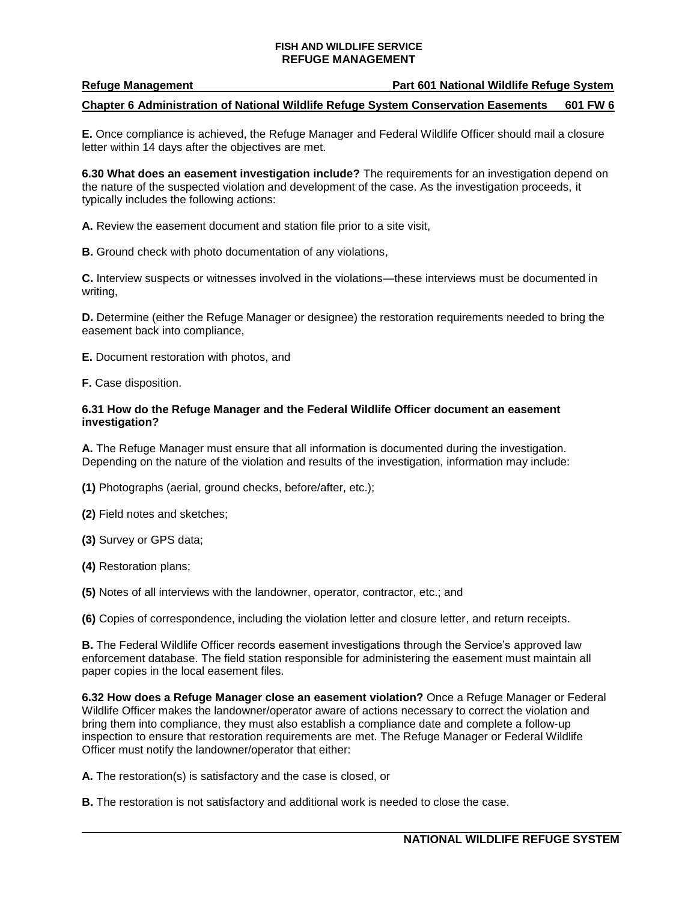**Refuge Management Part 601 National Wildlife Refuge System**

### **Chapter 6 Administration of National Wildlife Refuge System Conservation Easements 601 FW 6**

**E.** Once compliance is achieved, the Refuge Manager and Federal Wildlife Officer should mail a closure letter within 14 days after the objectives are met.

**6.30 What does an easement investigation include?** The requirements for an investigation depend on the nature of the suspected violation and development of the case. As the investigation proceeds, it typically includes the following actions:

**A.** Review the easement document and station file prior to a site visit,

**B.** Ground check with photo documentation of any violations,

**C.** Interview suspects or witnesses involved in the violations—these interviews must be documented in writing,

**D.** Determine (either the Refuge Manager or designee) the restoration requirements needed to bring the easement back into compliance,

**E.** Document restoration with photos, and

**F.** Case disposition.

#### **6.31 How do the Refuge Manager and the Federal Wildlife Officer document an easement investigation?**

**A.** The Refuge Manager must ensure that all information is documented during the investigation. Depending on the nature of the violation and results of the investigation, information may include:

**(1)** Photographs (aerial, ground checks, before/after, etc.);

**(2)** Field notes and sketches;

**(3)** Survey or GPS data;

**(4)** Restoration plans;

**(5)** Notes of all interviews with the landowner, operator, contractor, etc.; and

**(6)** Copies of correspondence, including the violation letter and closure letter, and return receipts.

**B.** The Federal Wildlife Officer records easement investigations through the Service's approved law enforcement database. The field station responsible for administering the easement must maintain all paper copies in the local easement files.

**6.32 How does a Refuge Manager close an easement violation?** Once a Refuge Manager or Federal Wildlife Officer makes the landowner/operator aware of actions necessary to correct the violation and bring them into compliance, they must also establish a compliance date and complete a follow-up inspection to ensure that restoration requirements are met. The Refuge Manager or Federal Wildlife Officer must notify the landowner/operator that either:

**A.** The restoration(s) is satisfactory and the case is closed, or

**B.** The restoration is not satisfactory and additional work is needed to close the case.